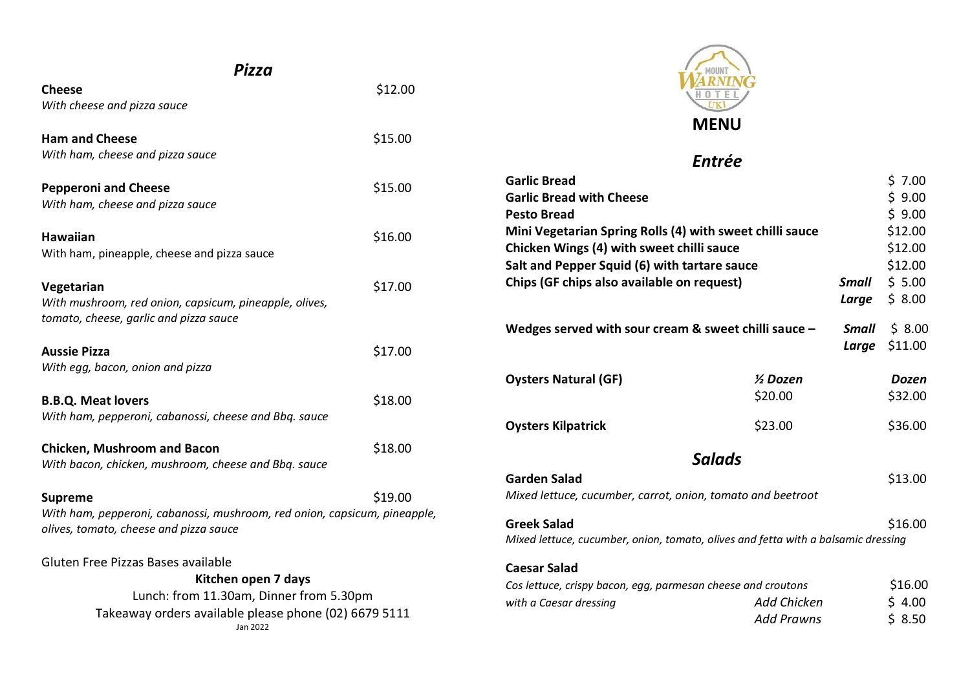| Pizza                                                                     |         |  |  |
|---------------------------------------------------------------------------|---------|--|--|
| <b>Cheese</b><br>With cheese and pizza sauce                              | \$12.00 |  |  |
|                                                                           |         |  |  |
| <b>Ham and Cheese</b>                                                     | \$15.00 |  |  |
| With ham, cheese and pizza sauce                                          |         |  |  |
| <b>Pepperoni and Cheese</b>                                               | \$15.00 |  |  |
| With ham, cheese and pizza sauce                                          |         |  |  |
| <b>Hawaiian</b>                                                           | \$16.00 |  |  |
| With ham, pineapple, cheese and pizza sauce                               |         |  |  |
| Vegetarian                                                                | \$17.00 |  |  |
| With mushroom, red onion, capsicum, pineapple, olives,                    |         |  |  |
| tomato, cheese, garlic and pizza sauce                                    |         |  |  |
| <b>Aussie Pizza</b>                                                       | \$17.00 |  |  |
| With egg, bacon, onion and pizza                                          |         |  |  |
| <b>B.B.Q. Meat lovers</b>                                                 | \$18.00 |  |  |
| With ham, pepperoni, cabanossi, cheese and Bbq. sauce                     |         |  |  |
| <b>Chicken, Mushroom and Bacon</b>                                        | \$18.00 |  |  |
| With bacon, chicken, mushroom, cheese and Bbq. sauce                      |         |  |  |
| <b>Supreme</b>                                                            | \$19.00 |  |  |
| With ham, pepperoni, cabanossi, mushroom, red onion, capsicum, pineapple, |         |  |  |
| olives, tomato, cheese and pizza sauce                                    |         |  |  |
| Gluten Free Pizzas Bases available                                        |         |  |  |
| Kitchen open 7 days                                                       |         |  |  |
| Lunch: from 11.30am, Dinner from 5.30pm                                   |         |  |  |
| Takeaway orders available please phone (02) 6679 5111<br>Jan 2022         |         |  |  |



## *Entrée*

|    | <b>Garlic Bread</b>                                                               |                     |                | \$7.00            |
|----|-----------------------------------------------------------------------------------|---------------------|----------------|-------------------|
|    | <b>Garlic Bread with Cheese</b>                                                   |                     |                | \$9.00            |
|    | <b>Pesto Bread</b>                                                                |                     |                | \$9.00            |
|    | Mini Vegetarian Spring Rolls (4) with sweet chilli sauce                          |                     |                | \$12.00           |
|    | Chicken Wings (4) with sweet chilli sauce                                         |                     |                | \$12.00           |
|    | Salt and Pepper Squid (6) with tartare sauce                                      |                     |                | \$12.00           |
|    | Chips (GF chips also available on request)                                        |                     | <b>Small</b>   | \$5.00            |
|    |                                                                                   |                     | Large          | \$8.00            |
|    | Wedges served with sour cream & sweet chilli sauce $-$                            |                     | Small<br>Large | \$8.00<br>\$11.00 |
|    | <b>Oysters Natural (GF)</b>                                                       | $\frac{1}{2}$ Dozen |                | <b>Dozen</b>      |
|    |                                                                                   | \$20.00             |                | \$32.00           |
|    | <b>Oysters Kilpatrick</b>                                                         | \$23.00             |                | \$36.00           |
|    |                                                                                   | <b>Salads</b>       |                |                   |
|    | <b>Garden Salad</b>                                                               |                     |                | \$13.00           |
|    | Mixed lettuce, cucumber, carrot, onion, tomato and beetroot                       |                     |                |                   |
| е, | <b>Greek Salad</b>                                                                |                     |                | \$16.00           |
|    | Mixed lettuce, cucumber, onion, tomato, olives and fetta with a balsamic dressing |                     |                |                   |
|    | <b>Caesar Salad</b>                                                               |                     |                |                   |
|    | Cos lettuce, crispy bacon, egg, parmesan cheese and croutons                      |                     |                | \$16.00           |
|    | with a Caesar dressing                                                            | <b>Add Chicken</b>  |                | \$4.00            |
|    |                                                                                   | <b>Add Prawns</b>   |                | \$8.50            |
|    |                                                                                   |                     |                |                   |